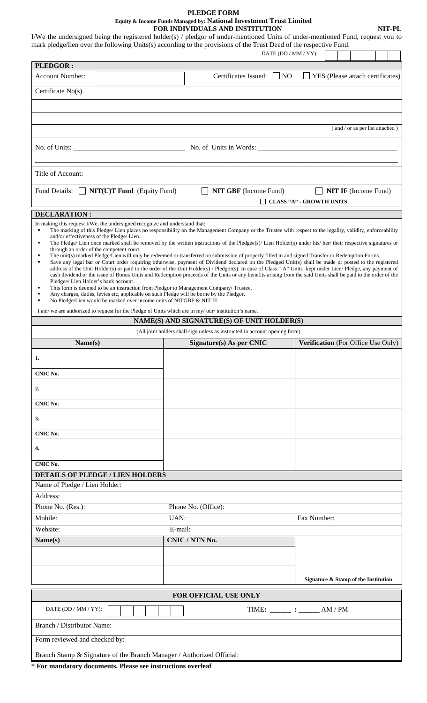#### **PLEDGE FORM Equity & Income Funds Managed by: National Investment Trust Limited FOR INDIVIDUALS AND INSTITUTION NIT-PL**

|                                                                                                                                                                                                                                             |  |         |                                                                                                                                                                                   | DATE (DD / MM / YY): | mark pledge/lien over the following Units(s) according to the provisions of the Trust Deed of the respective Fund.                                                                                                                                                                                                                                                                                                                                                                                                                                                                                                                                                                                                                                                                                   |
|---------------------------------------------------------------------------------------------------------------------------------------------------------------------------------------------------------------------------------------------|--|---------|-----------------------------------------------------------------------------------------------------------------------------------------------------------------------------------|----------------------|------------------------------------------------------------------------------------------------------------------------------------------------------------------------------------------------------------------------------------------------------------------------------------------------------------------------------------------------------------------------------------------------------------------------------------------------------------------------------------------------------------------------------------------------------------------------------------------------------------------------------------------------------------------------------------------------------------------------------------------------------------------------------------------------------|
| <b>PLEDGOR:</b>                                                                                                                                                                                                                             |  |         |                                                                                                                                                                                   |                      |                                                                                                                                                                                                                                                                                                                                                                                                                                                                                                                                                                                                                                                                                                                                                                                                      |
| <b>Account Number:</b>                                                                                                                                                                                                                      |  |         | Certificates Issued:                                                                                                                                                              | $\vert$   NO         | YES (Please attach certificates)                                                                                                                                                                                                                                                                                                                                                                                                                                                                                                                                                                                                                                                                                                                                                                     |
| Certificate No(s).                                                                                                                                                                                                                          |  |         |                                                                                                                                                                                   |                      |                                                                                                                                                                                                                                                                                                                                                                                                                                                                                                                                                                                                                                                                                                                                                                                                      |
|                                                                                                                                                                                                                                             |  |         |                                                                                                                                                                                   |                      |                                                                                                                                                                                                                                                                                                                                                                                                                                                                                                                                                                                                                                                                                                                                                                                                      |
|                                                                                                                                                                                                                                             |  |         |                                                                                                                                                                                   |                      | (and / or as per list attached)                                                                                                                                                                                                                                                                                                                                                                                                                                                                                                                                                                                                                                                                                                                                                                      |
|                                                                                                                                                                                                                                             |  |         |                                                                                                                                                                                   |                      |                                                                                                                                                                                                                                                                                                                                                                                                                                                                                                                                                                                                                                                                                                                                                                                                      |
| Title of Account:                                                                                                                                                                                                                           |  |         |                                                                                                                                                                                   |                      |                                                                                                                                                                                                                                                                                                                                                                                                                                                                                                                                                                                                                                                                                                                                                                                                      |
| Fund Details: $\Box$ NIT(U)T Fund (Equity Fund)                                                                                                                                                                                             |  |         | <b>NIT GBF</b> (Income Fund)                                                                                                                                                      |                      | $\Box$ NIT IF (Income Fund)<br>$\Box$ CLASS "A" - GROWTH UNITS                                                                                                                                                                                                                                                                                                                                                                                                                                                                                                                                                                                                                                                                                                                                       |
| <b>DECLARATION:</b>                                                                                                                                                                                                                         |  |         |                                                                                                                                                                                   |                      |                                                                                                                                                                                                                                                                                                                                                                                                                                                                                                                                                                                                                                                                                                                                                                                                      |
| and/or effectiveness of the Pledge/ Lien.<br>٠<br>through an order of the competent court.<br>$\blacksquare$<br>٠<br>Pledgee/ Lien Holder's bank account.<br>٠<br>No Pledge/Lien would be marked over income units of NITGBF & NIT IF.<br>٠ |  |         | This form is deemed to be an instruction from Pledgor to Management Company/ Trustee.<br>Any charges, duties, levies etc, applicable on such Pledge will be borne by the Pledgor. |                      | The Pledge/ Lien once marked shall be removed by the written instructions of the Pledgee(s)/ Lien Holder(s) under his/ her/ their respective signatures or<br>The unit(s) marked Pledge/Lien will only be redeemed or transferred on submission of properly filled in and signed Transfer or Redemption Forms.<br>Save any legal bar or Court order requiring otherwise, payment of Dividend declared on the Pledged Unit(s) shall be made or posted to the registered<br>address of the Unit Holder(s) or paid to the order of the Unit Holder(s) / Pledgor(s). In case of Class " A" Units kept under Lien/ Pledge, any payment of<br>cash dividend or the issue of Bonus Units and Redemption proceeds of the Units or any benefits arising from the said Units shall be paid to the order of the |
|                                                                                                                                                                                                                                             |  |         | I am/we are authorized to request for the Pledge of Units which are in my/our/institution's name.                                                                                 |                      |                                                                                                                                                                                                                                                                                                                                                                                                                                                                                                                                                                                                                                                                                                                                                                                                      |
|                                                                                                                                                                                                                                             |  |         | NAME(S) AND SIGNATURE(S) OF UNIT HOLDER(S)                                                                                                                                        |                      |                                                                                                                                                                                                                                                                                                                                                                                                                                                                                                                                                                                                                                                                                                                                                                                                      |
|                                                                                                                                                                                                                                             |  |         | (All joint holders shall sign unless as instructed in account opening form)                                                                                                       |                      |                                                                                                                                                                                                                                                                                                                                                                                                                                                                                                                                                                                                                                                                                                                                                                                                      |
| Name(s)                                                                                                                                                                                                                                     |  |         | $Sigma(x)$ As per CNIC                                                                                                                                                            |                      | <b>Verification</b> (For Office Use Only)                                                                                                                                                                                                                                                                                                                                                                                                                                                                                                                                                                                                                                                                                                                                                            |
| 1.                                                                                                                                                                                                                                          |  |         |                                                                                                                                                                                   |                      |                                                                                                                                                                                                                                                                                                                                                                                                                                                                                                                                                                                                                                                                                                                                                                                                      |
| CNIC No.                                                                                                                                                                                                                                    |  |         |                                                                                                                                                                                   |                      |                                                                                                                                                                                                                                                                                                                                                                                                                                                                                                                                                                                                                                                                                                                                                                                                      |
| 2.                                                                                                                                                                                                                                          |  |         |                                                                                                                                                                                   |                      |                                                                                                                                                                                                                                                                                                                                                                                                                                                                                                                                                                                                                                                                                                                                                                                                      |
| CNIC No.                                                                                                                                                                                                                                    |  |         |                                                                                                                                                                                   |                      |                                                                                                                                                                                                                                                                                                                                                                                                                                                                                                                                                                                                                                                                                                                                                                                                      |
| 3.                                                                                                                                                                                                                                          |  |         |                                                                                                                                                                                   |                      |                                                                                                                                                                                                                                                                                                                                                                                                                                                                                                                                                                                                                                                                                                                                                                                                      |
| CNIC No.                                                                                                                                                                                                                                    |  |         |                                                                                                                                                                                   |                      |                                                                                                                                                                                                                                                                                                                                                                                                                                                                                                                                                                                                                                                                                                                                                                                                      |
| 4.                                                                                                                                                                                                                                          |  |         |                                                                                                                                                                                   |                      |                                                                                                                                                                                                                                                                                                                                                                                                                                                                                                                                                                                                                                                                                                                                                                                                      |
| CNIC No.                                                                                                                                                                                                                                    |  |         |                                                                                                                                                                                   |                      |                                                                                                                                                                                                                                                                                                                                                                                                                                                                                                                                                                                                                                                                                                                                                                                                      |
| <b>DETAILS OF PLEDGE / LIEN HOLDERS</b>                                                                                                                                                                                                     |  |         |                                                                                                                                                                                   |                      |                                                                                                                                                                                                                                                                                                                                                                                                                                                                                                                                                                                                                                                                                                                                                                                                      |
| Name of Pledge / Lien Holder:                                                                                                                                                                                                               |  |         |                                                                                                                                                                                   |                      |                                                                                                                                                                                                                                                                                                                                                                                                                                                                                                                                                                                                                                                                                                                                                                                                      |
| Address:                                                                                                                                                                                                                                    |  |         |                                                                                                                                                                                   |                      |                                                                                                                                                                                                                                                                                                                                                                                                                                                                                                                                                                                                                                                                                                                                                                                                      |
| Phone No. (Res.):                                                                                                                                                                                                                           |  |         | Phone No. (Office):                                                                                                                                                               |                      |                                                                                                                                                                                                                                                                                                                                                                                                                                                                                                                                                                                                                                                                                                                                                                                                      |
| Mobile:                                                                                                                                                                                                                                     |  | UAN:    |                                                                                                                                                                                   |                      | Fax Number:                                                                                                                                                                                                                                                                                                                                                                                                                                                                                                                                                                                                                                                                                                                                                                                          |
| Website:                                                                                                                                                                                                                                    |  | E-mail: |                                                                                                                                                                                   |                      |                                                                                                                                                                                                                                                                                                                                                                                                                                                                                                                                                                                                                                                                                                                                                                                                      |
| Name(s)                                                                                                                                                                                                                                     |  |         | CNIC / NTN No.                                                                                                                                                                    |                      |                                                                                                                                                                                                                                                                                                                                                                                                                                                                                                                                                                                                                                                                                                                                                                                                      |
|                                                                                                                                                                                                                                             |  |         |                                                                                                                                                                                   |                      |                                                                                                                                                                                                                                                                                                                                                                                                                                                                                                                                                                                                                                                                                                                                                                                                      |
|                                                                                                                                                                                                                                             |  |         |                                                                                                                                                                                   |                      | Signature & Stamp of the Institution                                                                                                                                                                                                                                                                                                                                                                                                                                                                                                                                                                                                                                                                                                                                                                 |
|                                                                                                                                                                                                                                             |  |         |                                                                                                                                                                                   |                      |                                                                                                                                                                                                                                                                                                                                                                                                                                                                                                                                                                                                                                                                                                                                                                                                      |
|                                                                                                                                                                                                                                             |  |         | FOR OFFICIAL USE ONLY                                                                                                                                                             |                      |                                                                                                                                                                                                                                                                                                                                                                                                                                                                                                                                                                                                                                                                                                                                                                                                      |
| DATE (DD / MM / YY):                                                                                                                                                                                                                        |  |         |                                                                                                                                                                                   |                      | TIME: $\qquad \qquad : \qquad \qquad AM/PM$                                                                                                                                                                                                                                                                                                                                                                                                                                                                                                                                                                                                                                                                                                                                                          |
| Branch / Distributor Name:                                                                                                                                                                                                                  |  |         |                                                                                                                                                                                   |                      |                                                                                                                                                                                                                                                                                                                                                                                                                                                                                                                                                                                                                                                                                                                                                                                                      |
| Form reviewed and checked by:                                                                                                                                                                                                               |  |         |                                                                                                                                                                                   |                      |                                                                                                                                                                                                                                                                                                                                                                                                                                                                                                                                                                                                                                                                                                                                                                                                      |

**\* For mandatory documents. Please see instructions overleaf**